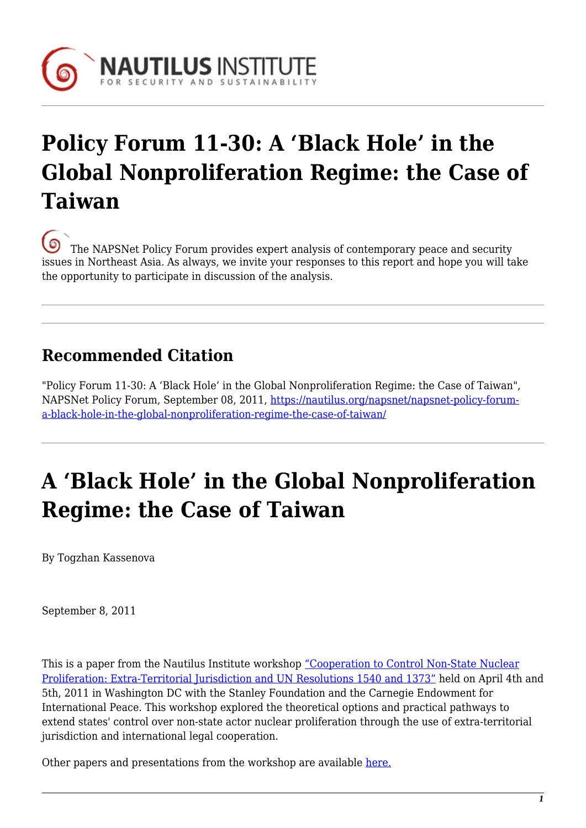

# **Policy Forum 11-30: A 'Black Hole' in the Global Nonproliferation Regime: the Case of Taiwan**

[T](https://nautilus.org/wp-content/uploads/2013/05/nautilus-logo-small.png)he NAPSNet Policy Forum provides expert analysis of contemporary peace and security issues in Northeast Asia. As always, we invite your responses to this report and hope you will take the opportunity to participate in discussion of the analysis.

# **Recommended Citation**

"Policy Forum 11-30: A 'Black Hole' in the Global Nonproliferation Regime: the Case of Taiwan", NAPSNet Policy Forum, September 08, 2011, [https://nautilus.org/napsnet/napsnet-policy-forum](https://nautilus.org/napsnet/napsnet-policy-forum/a-black-hole-in-the-global-nonproliferation-regime-the-case-of-taiwan/)[a-black-hole-in-the-global-nonproliferation-regime-the-case-of-taiwan/](https://nautilus.org/napsnet/napsnet-policy-forum/a-black-hole-in-the-global-nonproliferation-regime-the-case-of-taiwan/)

# **A 'Black Hole' in the Global Nonproliferation Regime: the Case of Taiwan**

By Togzhan Kassenova

September 8, 2011

This is a paper from the Nautilus Institute workshop ["Cooperation to Control Non-State Nuclear](https://nautilus.org/projects/non-state-proliferation/1540-extra-territorial-jurisdiction-and-1540-legal-cooperation-to-control-non-state-nuclear-proliferation) [Proliferation: Extra-Territorial Jurisdiction and UN Resolutions 1540 and 1373"](https://nautilus.org/projects/non-state-proliferation/1540-extra-territorial-jurisdiction-and-1540-legal-cooperation-to-control-non-state-nuclear-proliferation) held on April 4th and 5th, 2011 in Washington DC with the Stanley Foundation and the Carnegie Endowment for International Peace. This workshop explored the theoretical options and practical pathways to extend states' control over non-state actor nuclear proliferation through the use of extra-territorial jurisdiction and international legal cooperation.

Other papers and presentations from the workshop are available [here.](https://nautilus.org/projects/non-state-proliferation/unscr-1540-1373-workshop-papers-and-presentations)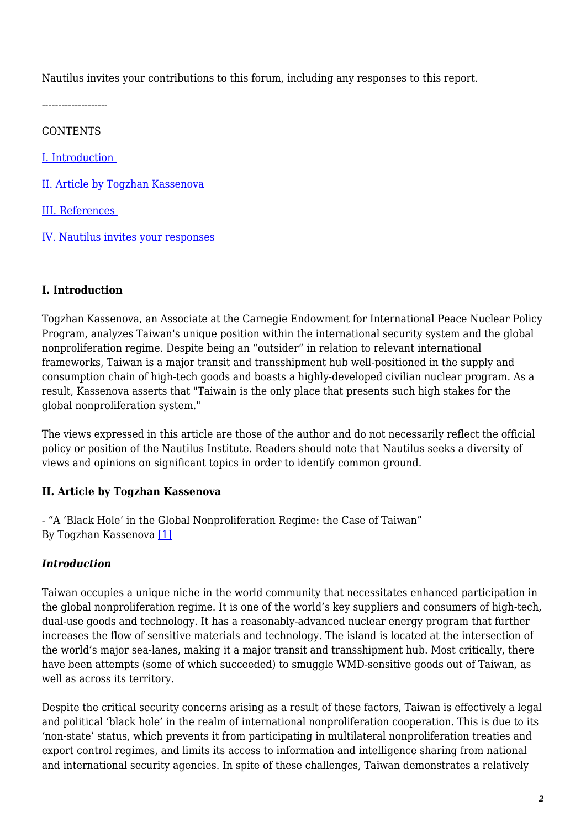Nautilus invites your contributions to this forum, including any responses to this report.

--------------------

**CONTENTS** 

[I. Introduction](#page-1-0) 

[II. Article by Togzhan Kassenova](#page-1-1)

[III. References](#page-5-0) 

[IV. Nautilus invites your responses](#page-6-0)

#### <span id="page-1-0"></span>**I. Introduction**

Togzhan Kassenova, an Associate at the Carnegie Endowment for International Peace Nuclear Policy Program, analyzes Taiwan's unique position within the international security system and the global nonproliferation regime. Despite being an "outsider" in relation to relevant international frameworks, Taiwan is a major transit and transshipment hub well-positioned in the supply and consumption chain of high-tech goods and boasts a highly-developed civilian nuclear program. As a result, Kassenova asserts that "Taiwain is the only place that presents such high stakes for the global nonproliferation system."

The views expressed in this article are those of the author and do not necessarily reflect the official policy or position of the Nautilus Institute. Readers should note that Nautilus seeks a diversity of views and opinions on significant topics in order to identify common ground.

#### <span id="page-1-1"></span>**II. Article by Togzhan Kassenova**

- "A 'Black Hole' in the Global Nonproliferation Regime: the Case of Taiwan" By Togzhan Kassenova [\[1\]](#page-5-1)

#### *Introduction*

Taiwan occupies a unique niche in the world community that necessitates enhanced participation in the global nonproliferation regime. It is one of the world's key suppliers and consumers of high-tech, dual-use goods and technology. It has a reasonably-advanced nuclear energy program that further increases the flow of sensitive materials and technology. The island is located at the intersection of the world's major sea-lanes, making it a major transit and transshipment hub. Most critically, there have been attempts (some of which succeeded) to smuggle WMD-sensitive goods out of Taiwan, as well as across its territory.

Despite the critical security concerns arising as a result of these factors, Taiwan is effectively a legal and political 'black hole' in the realm of international nonproliferation cooperation. This is due to its 'non-state' status, which prevents it from participating in multilateral nonproliferation treaties and export control regimes, and limits its access to information and intelligence sharing from national and international security agencies. In spite of these challenges, Taiwan demonstrates a relatively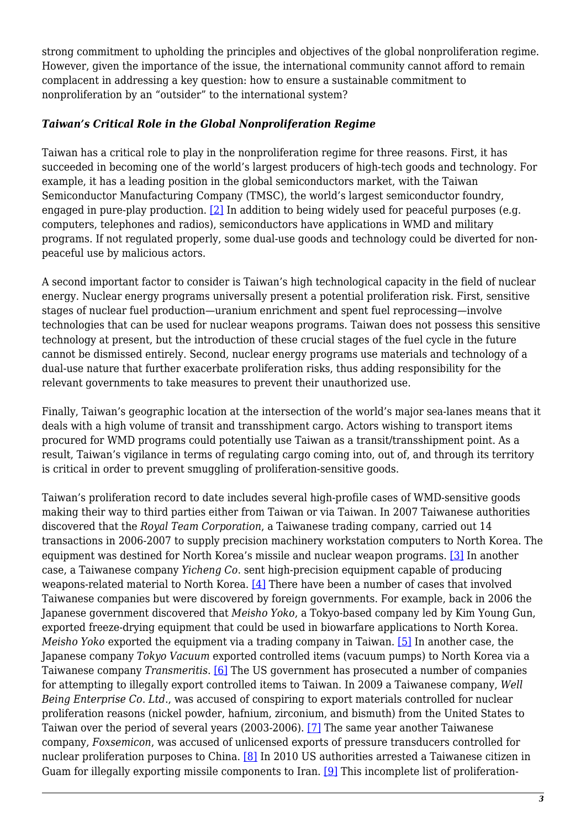strong commitment to upholding the principles and objectives of the global nonproliferation regime. However, given the importance of the issue, the international community cannot afford to remain complacent in addressing a key question: how to ensure a sustainable commitment to nonproliferation by an "outsider" to the international system?

#### *Taiwan's Critical Role in the Global Nonproliferation Regime*

Taiwan has a critical role to play in the nonproliferation regime for three reasons. First, it has succeeded in becoming one of the world's largest producers of high-tech goods and technology. For example, it has a leading position in the global semiconductors market, with the Taiwan Semiconductor Manufacturing Company (TMSC), the world's largest semiconductor foundry, engaged in pure-play production. [\[2\]](#page-5-2) In addition to being widely used for peaceful purposes (e.g. computers, telephones and radios), semiconductors have applications in WMD and military programs. If not regulated properly, some dual-use goods and technology could be diverted for nonpeaceful use by malicious actors.

A second important factor to consider is Taiwan's high technological capacity in the field of nuclear energy. Nuclear energy programs universally present a potential proliferation risk. First, sensitive stages of nuclear fuel production—uranium enrichment and spent fuel reprocessing—involve technologies that can be used for nuclear weapons programs. Taiwan does not possess this sensitive technology at present, but the introduction of these crucial stages of the fuel cycle in the future cannot be dismissed entirely. Second, nuclear energy programs use materials and technology of a dual-use nature that further exacerbate proliferation risks, thus adding responsibility for the relevant governments to take measures to prevent their unauthorized use.

Finally, Taiwan's geographic location at the intersection of the world's major sea-lanes means that it deals with a high volume of transit and transshipment cargo. Actors wishing to transport items procured for WMD programs could potentially use Taiwan as a transit/transshipment point. As a result, Taiwan's vigilance in terms of regulating cargo coming into, out of, and through its territory is critical in order to prevent smuggling of proliferation-sensitive goods.

Taiwan's proliferation record to date includes several high-profile cases of WMD-sensitive goods making their way to third parties either from Taiwan or via Taiwan. In 2007 Taiwanese authorities discovered that the *Royal Team Corporation*, a Taiwanese trading company, carried out 14 transactions in 2006-2007 to supply precision machinery workstation computers to North Korea. The equipment was destined for North Korea's missile and nuclear weapon programs. [\[3\]](#page-5-3) In another case, a Taiwanese company *Yicheng Co*. sent high-precision equipment capable of producing weapons-related material to North Korea. [\[4\]](#page-5-4) There have been a number of cases that involved Taiwanese companies but were discovered by foreign governments. For example, back in 2006 the Japanese government discovered that *Meisho Yoko*, a Tokyo-based company led by Kim Young Gun, exported freeze-drying equipment that could be used in biowarfare applications to North Korea. *Meisho Yoko* exported the equipment via a trading company in Taiwan. [\[5\]](#page-6-1) In another case, the Japanese company *Tokyo Vacuum* exported controlled items (vacuum pumps) to North Korea via a Taiwanese company *Transmeritis*. [\[6\]](#page-6-2) The US government has prosecuted a number of companies for attempting to illegally export controlled items to Taiwan. In 2009 a Taiwanese company, *Well Being Enterprise Co. Ltd*., was accused of conspiring to export materials controlled for nuclear proliferation reasons (nickel powder, hafnium, zirconium, and bismuth) from the United States to Taiwan over the period of several years (2003-2006). [\[7\]](#page-6-3) The same year another Taiwanese company, *Foxsemicon*, was accused of unlicensed exports of pressure transducers controlled for nuclear proliferation purposes to China. [\[8\]](#page-6-4) In 2010 US authorities arrested a Taiwanese citizen in Guam for illegally exporting missile components to Iran. [\[9\]](#page-6-5) This incomplete list of proliferation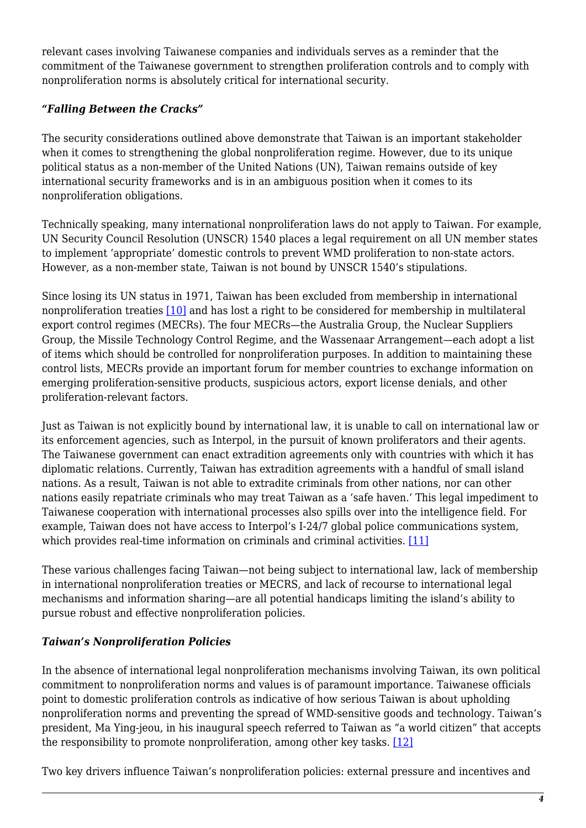relevant cases involving Taiwanese companies and individuals serves as a reminder that the commitment of the Taiwanese government to strengthen proliferation controls and to comply with nonproliferation norms is absolutely critical for international security.

### *"Falling Between the Cracks"*

The security considerations outlined above demonstrate that Taiwan is an important stakeholder when it comes to strengthening the global nonproliferation regime. However, due to its unique political status as a non-member of the United Nations (UN), Taiwan remains outside of key international security frameworks and is in an ambiguous position when it comes to its nonproliferation obligations.

Technically speaking, many international nonproliferation laws do not apply to Taiwan. For example, UN Security Council Resolution (UNSCR) 1540 places a legal requirement on all UN member states to implement 'appropriate' domestic controls to prevent WMD proliferation to non-state actors. However, as a non-member state, Taiwan is not bound by UNSCR 1540's stipulations.

Since losing its UN status in 1971, Taiwan has been excluded from membership in international nonproliferation treaties [\[10\]](#page-6-6) and has lost a right to be considered for membership in multilateral export control regimes (MECRs). The four MECRs—the Australia Group, the Nuclear Suppliers Group, the Missile Technology Control Regime, and the Wassenaar Arrangement—each adopt a list of items which should be controlled for nonproliferation purposes. In addition to maintaining these control lists, MECRs provide an important forum for member countries to exchange information on emerging proliferation-sensitive products, suspicious actors, export license denials, and other proliferation-relevant factors.

Just as Taiwan is not explicitly bound by international law, it is unable to call on international law or its enforcement agencies, such as Interpol, in the pursuit of known proliferators and their agents. The Taiwanese government can enact extradition agreements only with countries with which it has diplomatic relations. Currently, Taiwan has extradition agreements with a handful of small island nations. As a result, Taiwan is not able to extradite criminals from other nations, nor can other nations easily repatriate criminals who may treat Taiwan as a 'safe haven.' This legal impediment to Taiwanese cooperation with international processes also spills over into the intelligence field. For example, Taiwan does not have access to Interpol's I-24/7 global police communications system, which provides real-time information on criminals and criminal activities. [\[11\]](#page-6-7)

These various challenges facing Taiwan—not being subject to international law, lack of membership in international nonproliferation treaties or MECRS, and lack of recourse to international legal mechanisms and information sharing—are all potential handicaps limiting the island's ability to pursue robust and effective nonproliferation policies.

#### *Taiwan's Nonproliferation Policies*

In the absence of international legal nonproliferation mechanisms involving Taiwan, its own political commitment to nonproliferation norms and values is of paramount importance. Taiwanese officials point to domestic proliferation controls as indicative of how serious Taiwan is about upholding nonproliferation norms and preventing the spread of WMD-sensitive goods and technology. Taiwan's president, Ma Ying-jeou, in his inaugural speech referred to Taiwan as "a world citizen" that accepts the responsibility to promote nonproliferation, among other key tasks. [\[12\]](#page-6-8)

Two key drivers influence Taiwan's nonproliferation policies: external pressure and incentives and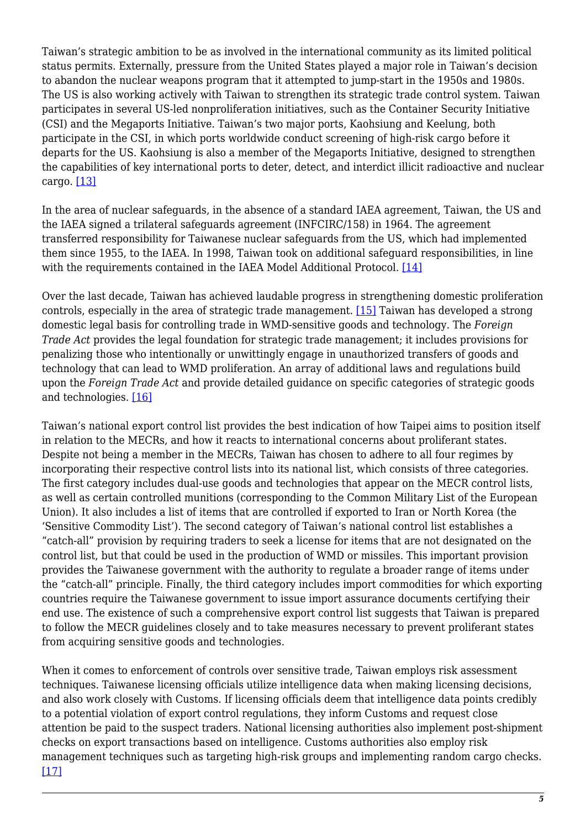Taiwan's strategic ambition to be as involved in the international community as its limited political status permits. Externally, pressure from the United States played a major role in Taiwan's decision to abandon the nuclear weapons program that it attempted to jump-start in the 1950s and 1980s. The US is also working actively with Taiwan to strengthen its strategic trade control system. Taiwan participates in several US-led nonproliferation initiatives, such as the Container Security Initiative (CSI) and the Megaports Initiative. Taiwan's two major ports, Kaohsiung and Keelung, both participate in the CSI, in which ports worldwide conduct screening of high-risk cargo before it departs for the US. Kaohsiung is also a member of the Megaports Initiative, designed to strengthen the capabilities of key international ports to deter, detect, and interdict illicit radioactive and nuclear cargo. [\[13\]](#page-6-9)

In the area of nuclear safeguards, in the absence of a standard IAEA agreement, Taiwan, the US and the IAEA signed a trilateral safeguards agreement (INFCIRC/158) in 1964. The agreement transferred responsibility for Taiwanese nuclear safeguards from the US, which had implemented them since 1955, to the IAEA. In 1998, Taiwan took on additional safeguard responsibilities, in line with the requirements contained in the IAEA Model Additional Protocol. [\[14\]](#page-6-10)

Over the last decade, Taiwan has achieved laudable progress in strengthening domestic proliferation controls, especially in the area of strategic trade management. [\[15\]](#page-6-11) Taiwan has developed a strong domestic legal basis for controlling trade in WMD-sensitive goods and technology. The *Foreign Trade Act* provides the legal foundation for strategic trade management; it includes provisions for penalizing those who intentionally or unwittingly engage in unauthorized transfers of goods and technology that can lead to WMD proliferation. An array of additional laws and regulations build upon the *Foreign Trade Act* and provide detailed guidance on specific categories of strategic goods and technologies. [\[16\]](#page-6-12)

Taiwan's national export control list provides the best indication of how Taipei aims to position itself in relation to the MECRs, and how it reacts to international concerns about proliferant states. Despite not being a member in the MECRs, Taiwan has chosen to adhere to all four regimes by incorporating their respective control lists into its national list, which consists of three categories. The first category includes dual-use goods and technologies that appear on the MECR control lists, as well as certain controlled munitions (corresponding to the Common Military List of the European Union). It also includes a list of items that are controlled if exported to Iran or North Korea (the 'Sensitive Commodity List'). The second category of Taiwan's national control list establishes a "catch-all" provision by requiring traders to seek a license for items that are not designated on the control list, but that could be used in the production of WMD or missiles. This important provision provides the Taiwanese government with the authority to regulate a broader range of items under the "catch-all" principle. Finally, the third category includes import commodities for which exporting countries require the Taiwanese government to issue import assurance documents certifying their end use. The existence of such a comprehensive export control list suggests that Taiwan is prepared to follow the MECR guidelines closely and to take measures necessary to prevent proliferant states from acquiring sensitive goods and technologies.

When it comes to enforcement of controls over sensitive trade, Taiwan employs risk assessment techniques. Taiwanese licensing officials utilize intelligence data when making licensing decisions, and also work closely with Customs. If licensing officials deem that intelligence data points credibly to a potential violation of export control regulations, they inform Customs and request close attention be paid to the suspect traders. National licensing authorities also implement post-shipment checks on export transactions based on intelligence. Customs authorities also employ risk management techniques such as targeting high-risk groups and implementing random cargo checks. [\[17\]](#page-6-13)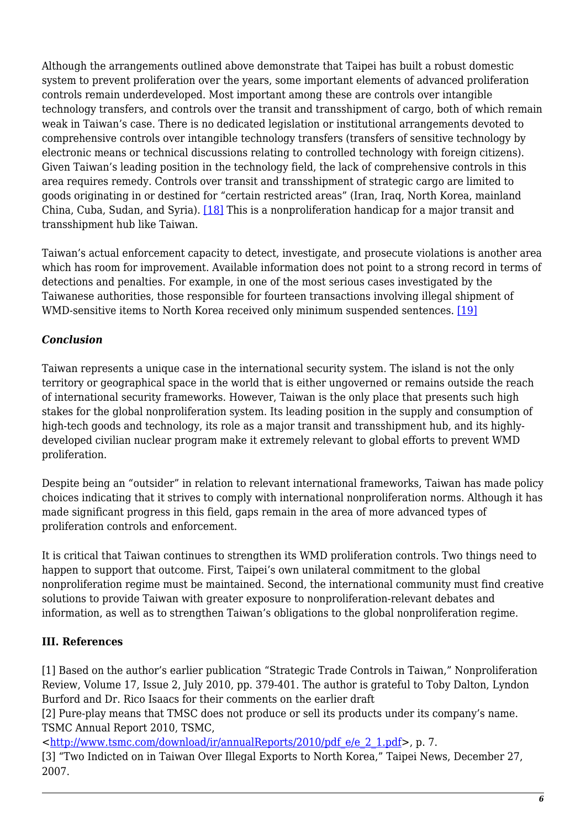Although the arrangements outlined above demonstrate that Taipei has built a robust domestic system to prevent proliferation over the years, some important elements of advanced proliferation controls remain underdeveloped. Most important among these are controls over intangible technology transfers, and controls over the transit and transshipment of cargo, both of which remain weak in Taiwan's case. There is no dedicated legislation or institutional arrangements devoted to comprehensive controls over intangible technology transfers (transfers of sensitive technology by electronic means or technical discussions relating to controlled technology with foreign citizens). Given Taiwan's leading position in the technology field, the lack of comprehensive controls in this area requires remedy. Controls over transit and transshipment of strategic cargo are limited to goods originating in or destined for "certain restricted areas" (Iran, Iraq, North Korea, mainland China, Cuba, Sudan, and Syria). [\[18\]](#page-6-14) This is a nonproliferation handicap for a major transit and transshipment hub like Taiwan.

Taiwan's actual enforcement capacity to detect, investigate, and prosecute violations is another area which has room for improvement. Available information does not point to a strong record in terms of detections and penalties. For example, in one of the most serious cases investigated by the Taiwanese authorities, those responsible for fourteen transactions involving illegal shipment of WMD-sensitive items to North Korea received only minimum suspended sentences. [\[19\]](#page-6-15)

### *Conclusion*

Taiwan represents a unique case in the international security system. The island is not the only territory or geographical space in the world that is either ungoverned or remains outside the reach of international security frameworks. However, Taiwan is the only place that presents such high stakes for the global nonproliferation system. Its leading position in the supply and consumption of high-tech goods and technology, its role as a major transit and transshipment hub, and its highlydeveloped civilian nuclear program make it extremely relevant to global efforts to prevent WMD proliferation.

Despite being an "outsider" in relation to relevant international frameworks, Taiwan has made policy choices indicating that it strives to comply with international nonproliferation norms. Although it has made significant progress in this field, gaps remain in the area of more advanced types of proliferation controls and enforcement.

It is critical that Taiwan continues to strengthen its WMD proliferation controls. Two things need to happen to support that outcome. First, Taipei's own unilateral commitment to the global nonproliferation regime must be maintained. Second, the international community must find creative solutions to provide Taiwan with greater exposure to nonproliferation-relevant debates and information, as well as to strengthen Taiwan's obligations to the global nonproliferation regime.

#### <span id="page-5-0"></span>**III. References**

<span id="page-5-1"></span>[1] Based on the author's earlier publication "Strategic Trade Controls in Taiwan," Nonproliferation Review, Volume 17, Issue 2, July 2010, pp. 379-401. The author is grateful to Toby Dalton, Lyndon Burford and Dr. Rico Isaacs for their comments on the earlier draft

<span id="page-5-2"></span>[2] Pure-play means that TMSC does not produce or sell its products under its company's name. TSMC Annual Report 2010, TSMC,

<[http://www.tsmc.com/download/ir/annualReports/2010/pdf\\_e/e\\_2\\_1.pdf](http://www.tsmc.com/download/ir/annualReports/2010/pdf_e/e_2_1.pdf)>, p. 7.

<span id="page-5-4"></span><span id="page-5-3"></span>[3] "Two Indicted on in Taiwan Over Illegal Exports to North Korea," Taipei News, December 27, 2007.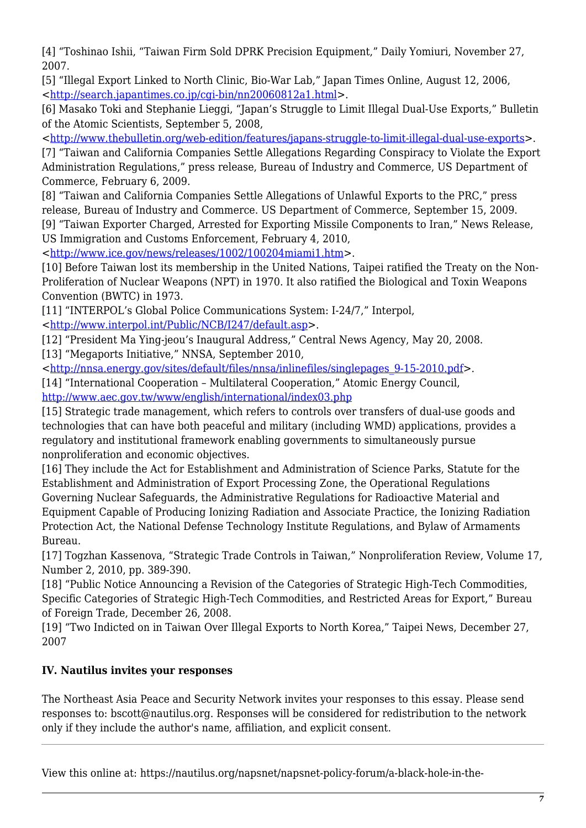[4] "Toshinao Ishii, "Taiwan Firm Sold DPRK Precision Equipment," Daily Yomiuri, November 27, 2007.

<span id="page-6-1"></span>[5] "Illegal Export Linked to North Clinic, Bio-War Lab," Japan Times Online, August 12, 2006, <[http://search.japantimes.co.jp/cgi-bin/nn20060812a1.html>](http://search.japantimes.co.jp/cgi-bin/nn20060812a1.html).

<span id="page-6-2"></span>[6] Masako Toki and Stephanie Lieggi, "Japan's Struggle to Limit Illegal Dual-Use Exports," Bulletin of the Atomic Scientists, September 5, 2008,

<<http://www.thebulletin.org/web-edition/features/japans-struggle-to-limit-illegal-dual-use-exports>>.

<span id="page-6-3"></span>[7] "Taiwan and California Companies Settle Allegations Regarding Conspiracy to Violate the Export Administration Regulations," press release, Bureau of Industry and Commerce, US Department of Commerce, February 6, 2009.

<span id="page-6-4"></span>[8] "Taiwan and California Companies Settle Allegations of Unlawful Exports to the PRC," press release, Bureau of Industry and Commerce. US Department of Commerce, September 15, 2009.

<span id="page-6-5"></span>[9] "Taiwan Exporter Charged, Arrested for Exporting Missile Components to Iran," News Release, US Immigration and Customs Enforcement, February 4, 2010,

<<http://www.ice.gov/news/releases/1002/100204miami1.htm>>.

<span id="page-6-6"></span>[10] Before Taiwan lost its membership in the United Nations, Taipei ratified the Treaty on the Non-Proliferation of Nuclear Weapons (NPT) in 1970. It also ratified the Biological and Toxin Weapons Convention (BWTC) in 1973.

<span id="page-6-7"></span>[11] "INTERPOL's Global Police Communications System: I-24/7," Interpol,

<[http://www.interpol.int/Public/NCB/I247/default.asp>](http://www.interpol.int/Public/NCB/I247/default.asp).

<span id="page-6-8"></span>[12] "President Ma Ying-jeou's Inaugural Address," Central News Agency, May 20, 2008.

<span id="page-6-9"></span>[13] "Megaports Initiative," NNSA, September 2010,

<[http://nnsa.energy.gov/sites/default/files/nnsa/inlinefiles/singlepages\\_9-15-2010.pdf>](http://nnsa.energy.gov/sites/default/files/nnsa/inlinefiles/singlepages_9-15-2010.pdf).

<span id="page-6-10"></span>[14] "International Cooperation – Multilateral Cooperation," Atomic Energy Council, <http://www.aec.gov.tw/www/english/international/index03.php>

<span id="page-6-11"></span>[15] Strategic trade management, which refers to controls over transfers of dual-use goods and technologies that can have both peaceful and military (including WMD) applications, provides a regulatory and institutional framework enabling governments to simultaneously pursue nonproliferation and economic objectives.

<span id="page-6-12"></span>[16] They include the Act for Establishment and Administration of Science Parks, Statute for the Establishment and Administration of Export Processing Zone, the Operational Regulations Governing Nuclear Safeguards, the Administrative Regulations for Radioactive Material and Equipment Capable of Producing Ionizing Radiation and Associate Practice, the Ionizing Radiation Protection Act, the National Defense Technology Institute Regulations, and Bylaw of Armaments Bureau.

<span id="page-6-13"></span>[17] Togzhan Kassenova, "Strategic Trade Controls in Taiwan," Nonproliferation Review, Volume 17, Number 2, 2010, pp. 389-390.

<span id="page-6-14"></span>[18] "Public Notice Announcing a Revision of the Categories of Strategic High-Tech Commodities, Specific Categories of Strategic High-Tech Commodities, and Restricted Areas for Export," Bureau of Foreign Trade, December 26, 2008.

<span id="page-6-15"></span>[19] "Two Indicted on in Taiwan Over Illegal Exports to North Korea," Taipei News, December 27, 2007

## <span id="page-6-0"></span>**IV. Nautilus invites your responses**

The Northeast Asia Peace and Security Network invites your responses to this essay. Please send responses to: bscott@nautilus.org. Responses will be considered for redistribution to the network only if they include the author's name, affiliation, and explicit consent.

View this online at: https://nautilus.org/napsnet/napsnet-policy-forum/a-black-hole-in-the-